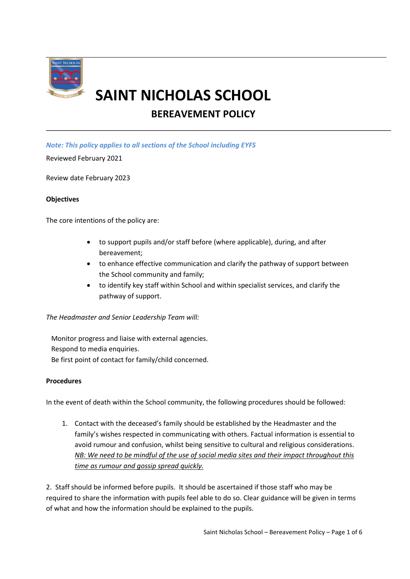

# **SAINT NICHOLAS SCHOOL**

# **BEREAVEMENT POLICY**

*Note: This policy applies to all sections of the School including EYFS*

Reviewed February 2021

Review date February 2023

#### **Objectives**

The core intentions of the policy are:

- to support pupils and/or staff before (where applicable), during, and after bereavement;
- to enhance effective communication and clarify the pathway of support between the School community and family;
- to identify key staff within School and within specialist services, and clarify the pathway of support.

#### *The Headmaster and Senior Leadership Team will:*

 Monitor progress and liaise with external agencies. Respond to media enquiries. Be first point of contact for family/child concerned.

#### **Procedures**

In the event of death within the School community, the following procedures should be followed:

1. Contact with the deceased's family should be established by the Headmaster and the family's wishes respected in communicating with others. Factual information is essential to avoid rumour and confusion, whilst being sensitive to cultural and religious considerations. *NB: We need to be mindful of the use of social media sites and their impact throughout this time as rumour and gossip spread quickly.*

2. Staff should be informed before pupils. It should be ascertained if those staff who may be required to share the information with pupils feel able to do so. Clear guidance will be given in terms of what and how the information should be explained to the pupils.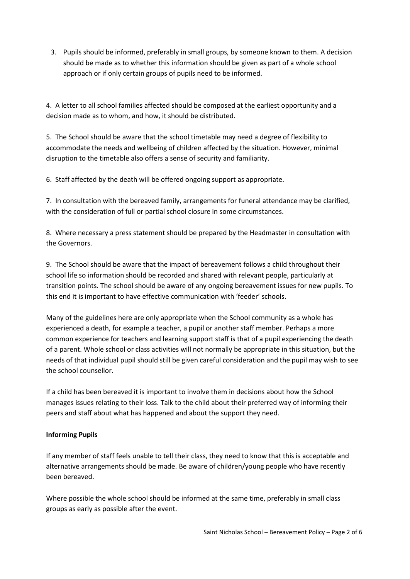3. Pupils should be informed, preferably in small groups, by someone known to them. A decision should be made as to whether this information should be given as part of a whole school approach or if only certain groups of pupils need to be informed.

4. A letter to all school families affected should be composed at the earliest opportunity and a decision made as to whom, and how, it should be distributed.

5. The School should be aware that the school timetable may need a degree of flexibility to accommodate the needs and wellbeing of children affected by the situation. However, minimal disruption to the timetable also offers a sense of security and familiarity.

6. Staff affected by the death will be offered ongoing support as appropriate.

7. In consultation with the bereaved family, arrangements for funeral attendance may be clarified, with the consideration of full or partial school closure in some circumstances.

8. Where necessary a press statement should be prepared by the Headmaster in consultation with the Governors.

9. The School should be aware that the impact of bereavement follows a child throughout their school life so information should be recorded and shared with relevant people, particularly at transition points. The school should be aware of any ongoing bereavement issues for new pupils. To this end it is important to have effective communication with 'feeder' schools.

Many of the guidelines here are only appropriate when the School community as a whole has experienced a death, for example a teacher, a pupil or another staff member. Perhaps a more common experience for teachers and learning support staff is that of a pupil experiencing the death of a parent. Whole school or class activities will not normally be appropriate in this situation, but the needs of that individual pupil should still be given careful consideration and the pupil may wish to see the school counsellor.

If a child has been bereaved it is important to involve them in decisions about how the School manages issues relating to their loss. Talk to the child about their preferred way of informing their peers and staff about what has happened and about the support they need.

# **Informing Pupils**

If any member of staff feels unable to tell their class, they need to know that this is acceptable and alternative arrangements should be made. Be aware of children/young people who have recently been bereaved.

Where possible the whole school should be informed at the same time, preferably in small class groups as early as possible after the event.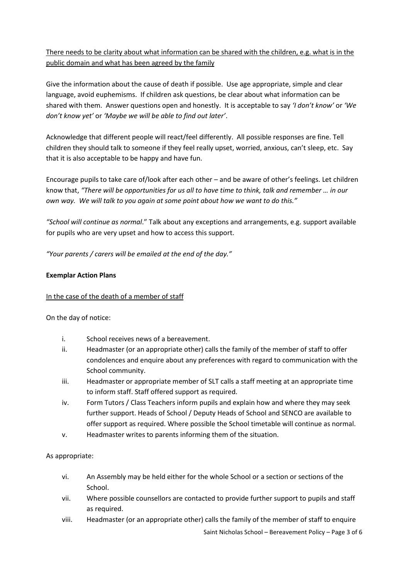There needs to be clarity about what information can be shared with the children, e.g. what is in the public domain and what has been agreed by the family

Give the information about the cause of death if possible. Use age appropriate, simple and clear language, avoid euphemisms. If children ask questions, be clear about what information can be shared with them. Answer questions open and honestly. It is acceptable to say *'I don't know'* or *'We don't know yet'* or *'Maybe we will be able to find out later'*.

Acknowledge that different people will react/feel differently. All possible responses are fine. Tell children they should talk to someone if they feel really upset, worried, anxious, can't sleep, etc. Say that it is also acceptable to be happy and have fun.

Encourage pupils to take care of/look after each other – and be aware of other's feelings. Let children know that, *"There will be opportunities for us all to have time to think, talk and remember … in our own way. We will talk to you again at some point about how we want to do this."*

*"School will continue as normal*." Talk about any exceptions and arrangements, e.g. support available for pupils who are very upset and how to access this support.

*"Your parents / carers will be emailed at the end of the day."* 

#### **Exemplar Action Plans**

#### In the case of the death of a member of staff

On the day of notice:

- i. School receives news of a bereavement.
- ii. Headmaster (or an appropriate other) calls the family of the member of staff to offer condolences and enquire about any preferences with regard to communication with the School community.
- iii. Headmaster or appropriate member of SLT calls a staff meeting at an appropriate time to inform staff. Staff offered support as required.
- iv. Form Tutors / Class Teachers inform pupils and explain how and where they may seek further support. Heads of School / Deputy Heads of School and SENCO are available to offer support as required. Where possible the School timetable will continue as normal.
- v. Headmaster writes to parents informing them of the situation.

#### As appropriate:

- vi. An Assembly may be held either for the whole School or a section or sections of the School.
- vii. Where possible counsellors are contacted to provide further support to pupils and staff as required.
- viii. Headmaster (or an appropriate other) calls the family of the member of staff to enquire

Saint Nicholas School – Bereavement Policy – Page 3 of 6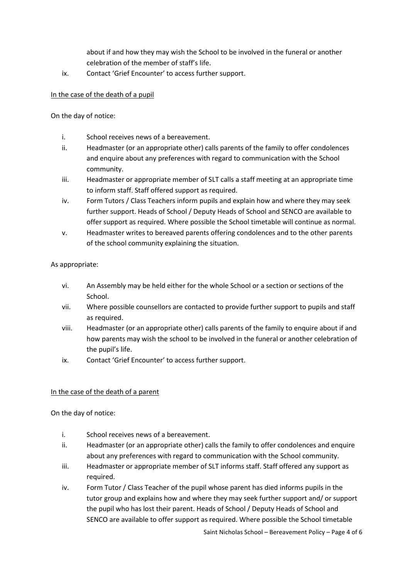about if and how they may wish the School to be involved in the funeral or another celebration of the member of staff's life.

ix. Contact 'Grief Encounter' to access further support.

## In the case of the death of a pupil

On the day of notice:

- i. School receives news of a bereavement.
- ii. Headmaster (or an appropriate other) calls parents of the family to offer condolences and enquire about any preferences with regard to communication with the School community.
- iii. Headmaster or appropriate member of SLT calls a staff meeting at an appropriate time to inform staff. Staff offered support as required.
- iv. Form Tutors / Class Teachers inform pupils and explain how and where they may seek further support. Heads of School / Deputy Heads of School and SENCO are available to offer support as required. Where possible the School timetable will continue as normal.
- v. Headmaster writes to bereaved parents offering condolences and to the other parents of the school community explaining the situation.

As appropriate:

- vi. An Assembly may be held either for the whole School or a section or sections of the School.
- vii. Where possible counsellors are contacted to provide further support to pupils and staff as required.
- viii. Headmaster (or an appropriate other) calls parents of the family to enquire about if and how parents may wish the school to be involved in the funeral or another celebration of the pupil's life.
- ix. Contact 'Grief Encounter' to access further support.

# In the case of the death of a parent

On the day of notice:

- i. School receives news of a bereavement.
- ii. Headmaster (or an appropriate other) calls the family to offer condolences and enquire about any preferences with regard to communication with the School community.
- iii. Headmaster or appropriate member of SLT informs staff. Staff offered any support as required.
- iv. Form Tutor / Class Teacher of the pupil whose parent has died informs pupils in the tutor group and explains how and where they may seek further support and/ or support the pupil who has lost their parent. Heads of School / Deputy Heads of School and SENCO are available to offer support as required. Where possible the School timetable